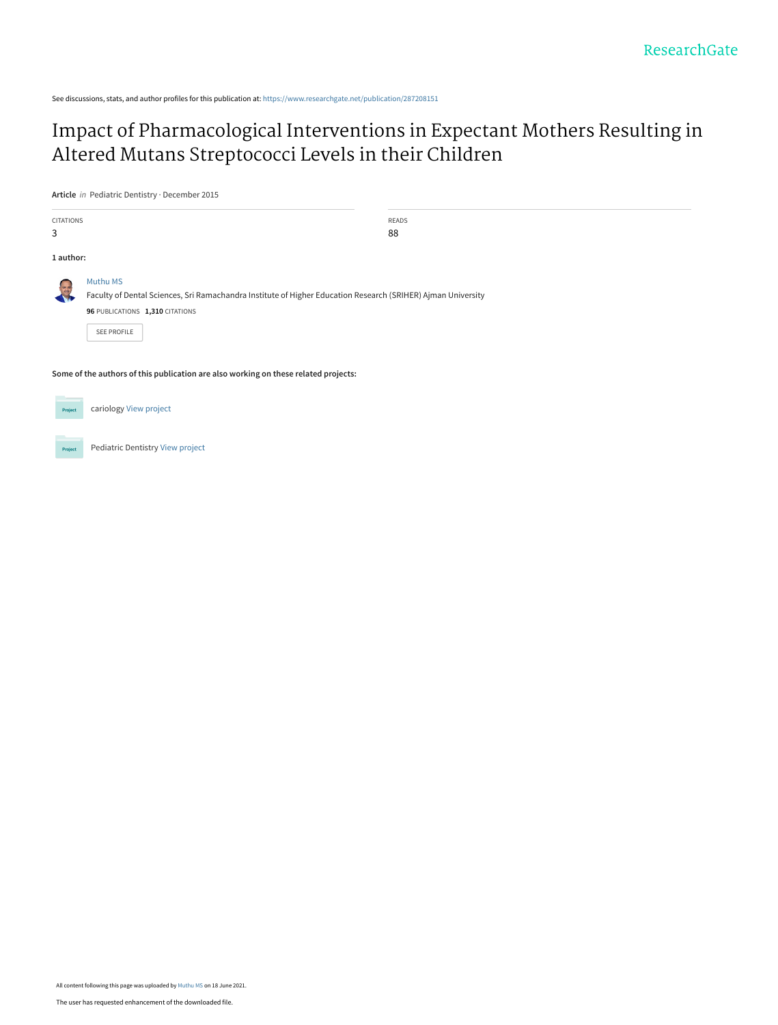See discussions, stats, and author profiles for this publication at: [https://www.researchgate.net/publication/287208151](https://www.researchgate.net/publication/287208151_Impact_of_Pharmacological_Interventions_in_Expectant_Mothers_Resulting_in_Altered_Mutans_Streptococci_Levels_in_their_Children?enrichId=rgreq-c62f3fd91aa6cacac037b70e690b40ea-XXX&enrichSource=Y292ZXJQYWdlOzI4NzIwODE1MTtBUzoxMDM2MDY1MTQ2MTUwOTE1QDE2MjQwMjg1ODg2MjU%3D&el=1_x_2&_esc=publicationCoverPdf)

# [Impact of Pharmacological Interventions in Expectant Mothers Resulting in](https://www.researchgate.net/publication/287208151_Impact_of_Pharmacological_Interventions_in_Expectant_Mothers_Resulting_in_Altered_Mutans_Streptococci_Levels_in_their_Children?enrichId=rgreq-c62f3fd91aa6cacac037b70e690b40ea-XXX&enrichSource=Y292ZXJQYWdlOzI4NzIwODE1MTtBUzoxMDM2MDY1MTQ2MTUwOTE1QDE2MjQwMjg1ODg2MjU%3D&el=1_x_3&_esc=publicationCoverPdf) Altered Mutans Streptococci Levels in their Children

**Article** in Pediatric Dentistry · December 2015

| <b>CITATIONS</b> |                                                                                                                                                                                   | <b>READS</b> |  |  |  |  |  |  |
|------------------|-----------------------------------------------------------------------------------------------------------------------------------------------------------------------------------|--------------|--|--|--|--|--|--|
| 3                |                                                                                                                                                                                   | 88           |  |  |  |  |  |  |
| 1 author:        |                                                                                                                                                                                   |              |  |  |  |  |  |  |
| $\frac{1}{2}$    | Muthu MS<br>Faculty of Dental Sciences, Sri Ramachandra Institute of Higher Education Research (SRIHER) Ajman University<br>96 PUBLICATIONS 1,310 CITATIONS<br><b>SEE PROFILE</b> |              |  |  |  |  |  |  |
|                  |                                                                                                                                                                                   |              |  |  |  |  |  |  |

**Some of the authors of this publication are also working on these related projects:**

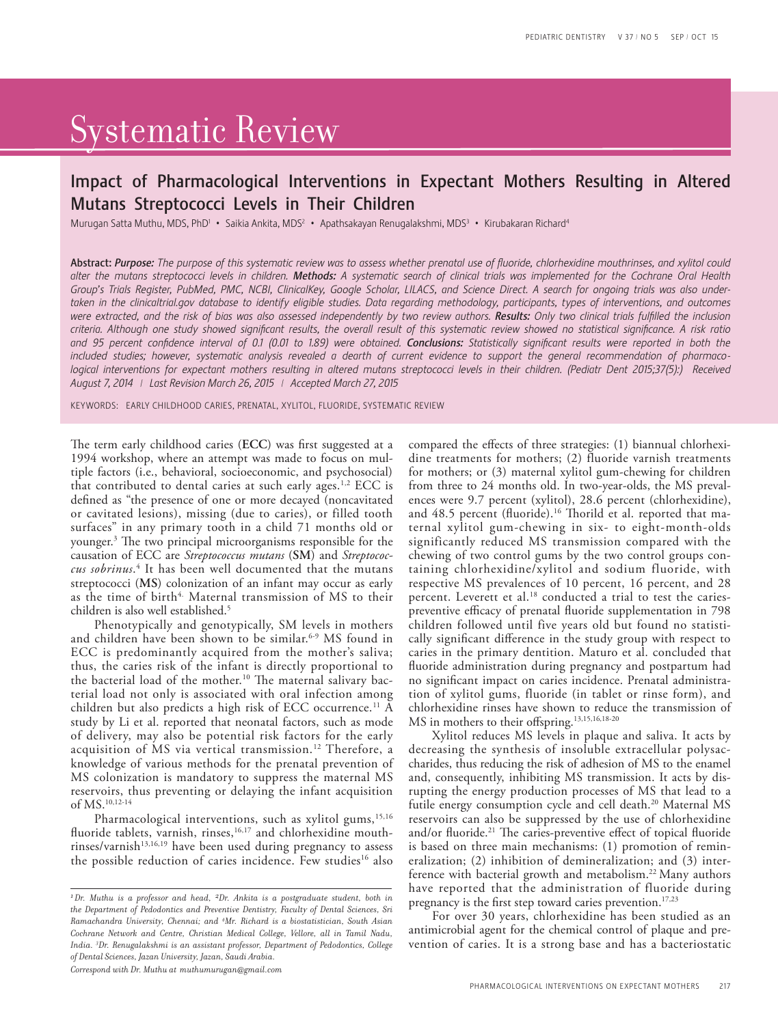# Systematic Review

## Impact of Pharmacological Interventions in Expectant Mothers Resulting in Altered Mutans Streptococci Levels in Their Children

Murugan Satta Muthu, MDS, PhD<sup>1</sup> • Saikia Ankita, MDS<sup>2</sup> • Apathsakayan Renugalakshmi, MDS<sup>3</sup> • Kirubakaran Richard<sup>4</sup>

Abstract: *Purpose: The purpose of this systematic review was to assess whether prenatal use of fluoride, chlorhexidine mouthrinses, and xylitol could alter the mutans streptococci levels in children. Methods: A systematic search of clinical trials was implemented for the Cochrane Oral Health Group's Trials Register, PubMed, PMC, NCBI, ClinicalKey, Google Scholar, LILACS, and Science Direct. A search for ongoing trials was also under*taken in the clinicaltrial.gov database to identify eligible studies. Data regarding methodology, participants, types of interventions, and outcomes were extracted, and the risk of bias was also assessed independently by two review authors. **Results:** Only two clinical trials fulfilled the inclusion *criteria. Although one study showed significant results, the overall result of this systematic review showed no statistical significance. A risk ratio and 95 percent confidence interval of 0.1 (0.01 to 1.89) were obtained. Conclusions: Statistically significant results were reported in both the included studies; however, systematic analysis revealed a dearth of current evidence to support the general recommendation of pharmaco*logical interventions for expectant mothers resulting in altered mutans streptococci levels in their children. (Pediatr Dent 2015;37(5):) Received *August 7, 2014 | Last Revision March 26, 2015 | Accepted March 27, 2015*

KEYWORDS: EARLY CHILDHOOD CARIES, PRENATAL, XYLITOL, FLUORIDE, SYSTEMATIC REVIEW

The term early childhood caries (**ECC**) was first suggested at a 1994 workshop, where an attempt was made to focus on multiple factors (i.e., behavioral, socioeconomic, and psychosocial) that contributed to dental caries at such early ages.1,2 ECC is defined as "the presence of one or more decayed (noncavitated or cavitated lesions), missing (due to caries), or filled tooth surfaces" in any primary tooth in a child 71 months old or younger.3 The two principal microorganisms responsible for the causation of ECC are *Streptococcus mutans* (**SM**) and *Streptococcus sobrinus*. 4 It has been well documented that the mutans streptococci (**MS**) colonization of an infant may occur as early as the time of birth<sup>4.</sup> Maternal transmission of MS to their children is also well established.5

Phenotypically and genotypically, SM levels in mothers and children have been shown to be similar.<sup>6-9</sup> MS found in ECC is predominantly acquired from the mother's saliva; thus, the caries risk of the infant is directly proportional to the bacterial load of the mother.<sup>10</sup> The maternal salivary bacterial load not only is associated with oral infection among children but also predicts a high risk of ECC occurrence.11 A study by Li et al. reported that neonatal factors, such as mode of delivery, may also be potential risk factors for the early acquisition of MS via vertical transmission.<sup>12</sup> Therefore, a knowledge of various methods for the prenatal prevention of MS colonization is mandatory to suppress the maternal MS reservoirs, thus preventing or delaying the infant acquisition of MS.10,12-14

Pharmacological interventions, such as xylitol gums,<sup>15,16</sup> fluoride tablets, varnish, rinses,<sup>16,17</sup> and chlorhexidine mouth $r$ inses/varnish $13,16,19$  have been used during pregnancy to assess the possible reduction of caries incidence. Few studies<sup>16</sup> also

*Correspond with Dr. Muthu at muthumurugan@gmail.com*

compared the effects of three strategies: (1) biannual chlorhexidine treatments for mothers; (2) fluoride varnish treatments for mothers; or (3) maternal xylitol gum-chewing for children from three to 24 months old. In two-year-olds, the MS prevalences were 9.7 percent (xylitol), 28.6 percent (chlorhexidine), and 48.5 percent (fluoride).<sup>16</sup> Thorild et al. reported that maternal xylitol gum-chewing in six- to eight-month-olds significantly reduced MS transmission compared with the chewing of two control gums by the two control groups containing chlorhexidine/xylitol and sodium fluoride, with respective MS prevalences of 10 percent, 16 percent, and 28 percent. Leverett et al.<sup>18</sup> conducted a trial to test the cariespreventive efficacy of prenatal fluoride supplementation in 798 children followed until five years old but found no statistically significant difference in the study group with respect to caries in the primary dentition. Maturo et al. concluded that fluoride administration during pregnancy and postpartum had no significant impact on caries incidence. Prenatal administration of xylitol gums, fluoride (in tablet or rinse form), and chlorhexidine rinses have shown to reduce the transmission of MS in mothers to their offspring.<sup>13,15,16,18-20</sup>

Xylitol reduces MS levels in plaque and saliva. It acts by decreasing the synthesis of insoluble extracellular polysaccharides, thus reducing the risk of adhesion of MS to the enamel and, consequently, inhibiting MS transmission. It acts by disrupting the energy production processes of MS that lead to a futile energy consumption cycle and cell death.<sup>20</sup> Maternal MS reservoirs can also be suppressed by the use of chlorhexidine and/or fluoride.<sup>21</sup> The caries-preventive effect of topical fluoride is based on three main mechanisms: (1) promotion of remineralization; (2) inhibition of demineralization; and (3) interference with bacterial growth and metabolism.<sup>22</sup> Many authors have reported that the administration of fluoride during pregnancy is the first step toward caries prevention.<sup>17,23</sup>

For over 30 years, chlorhexidine has been studied as an antimicrobial agent for the chemical control of plaque and prevention of caries. It is a strong base and has a bacteriostatic

*<sup>1</sup> Dr. Muthu is a professor and head, 2Dr. Ankita is a postgraduate student, both in the Department of Pedodontics and Preventive Dentistry, Faculty of Dental Sciences, Sri Ramachandra University, Chennai; and 4 Mr. Richard is a biostatistician, South Asian Cochrane Network and Centre, Christian Medical College, Vellore, all in Tamil Nadu, India. 3 Dr. Renugalakshmi is an assistant professor, Department of Pedodontics, College of Dental Sciences, Jazan University, Jazan, Saudi Arabia.*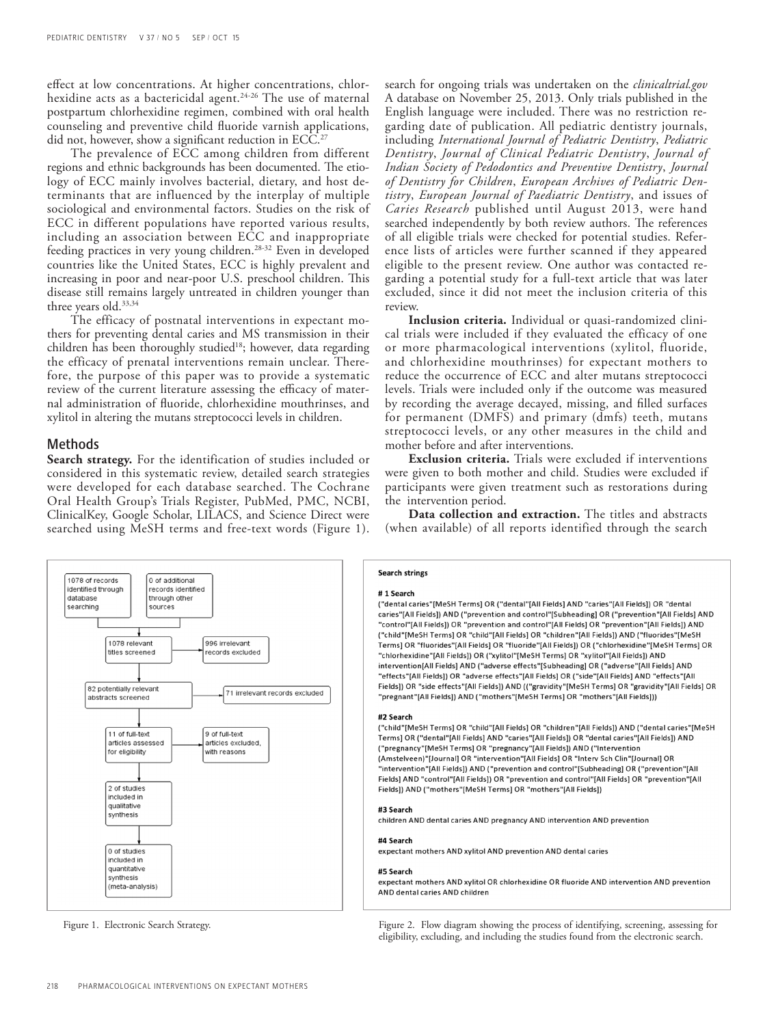effect at low concentrations. At higher concentrations, chlorhexidine acts as a bactericidal agent.<sup>24-26</sup> The use of maternal postpartum chlorhexidine regimen, combined with oral health counseling and preventive child fluoride varnish applications, did not, however, show a significant reduction in ECC.<sup>27</sup>

The prevalence of ECC among children from different regions and ethnic backgrounds has been documented. The etiology of ECC mainly involves bacterial, dietary, and host determinants that are influenced by the interplay of multiple sociological and environmental factors. Studies on the risk of ECC in different populations have reported various results, including an association between ECC and inappropriate feeding practices in very young children.28-32 Even in developed countries like the United States, ECC is highly prevalent and increasing in poor and near-poor U.S. preschool children. This disease still remains largely untreated in children younger than three years old.<sup>33,34</sup>

The efficacy of postnatal interventions in expectant mothers for preventing dental caries and MS transmission in their children has been thoroughly studied<sup>18</sup>; however, data regarding the efficacy of prenatal interventions remain unclear. Therefore, the purpose of this paper was to provide a systematic review of the current literature assessing the efficacy of maternal administration of fluoride, chlorhexidine mouthrinses, and xylitol in altering the mutans streptococci levels in children.

### Methods

**Search strategy.** For the identification of studies included or considered in this systematic review, detailed search strategies were developed for each database searched. The Cochrane Oral Health Group's Trials Register, PubMed, PMC, NCBI, ClinicalKey, Google Scholar, LILACS, and Science Direct were searched using MeSH terms and free-text words (Figure 1).

search for ongoing trials was undertaken on the *clinicaltrial.gov* A database on November 25, 2013. Only trials published in the English language were included. There was no restriction regarding date of publication. All pediatric dentistry journals, including *International Journal of Pediatric Dentistry*, *Pediatric Dentistry*, *Journal of Clinical Pediatric Dentistry*, *Journal of Indian Society of Pedodontics and Preventive Dentistry*, *Journal of Dentistry for Children*, *European Archives of Pediatric Dentistry*, *European Journal of Paediatric Dentistry*, and issues of *Caries Research* published until August 2013, were hand searched independently by both review authors. The references of all eligible trials were checked for potential studies. Reference lists of articles were further scanned if they appeared eligible to the present review. One author was contacted regarding a potential study for a full-text article that was later excluded, since it did not meet the inclusion criteria of this review.

**Inclusion criteria.** Individual or quasi-randomized clinical trials were included if they evaluated the efficacy of one or more pharmacological interventions (xylitol, fluoride, and chlorhexidine mouthrinses) for expectant mothers to reduce the occurrence of ECC and alter mutans streptococci levels. Trials were included only if the outcome was measured by recording the average decayed, missing, and filled surfaces for permanent (DMFS) and primary (dmfs) teeth, mutans streptococci levels, or any other measures in the child and mother before and after interventions.

**Exclusion criteria.** Trials were excluded if interventions were given to both mother and child. Studies were excluded if participants were given treatment such as restorations during the intervention period.

**Data collection and extraction.** The titles and abstracts (when available) of all reports identified through the search



**Search strings** 

### #1 Search

("dental caries"[MeSH Terms] OR ("dental"[All Fields] AND "caries"[All Fields]) OR "dental caries"[All Fields]) AND ("prevention and control"[Subheading] OR ("prevention"[All Fields] AND "control"[All Fields]) OR "prevention and control"[All Fields] OR "prevention"[All Fields]) AND ("child"[MeSH Terms] OR "child"[All Fields] OR "children"[All Fields]) AND ("fluorides"[MeSH Terms] OR "fluorides"[All Fields] OR "fluoride"[All Fields]) OR ("chlorhexidine"[MeSH Terms] OR "chlorhexidine"[All Fields]) OR ("xylitol"[MeSH Terms] OR "xylitol"[All Fields]) AND intervention[All Fields] AND ("adverse effects"[Subheading] OR ("adverse"[All Fields] AND "effects"[All Fields]) OR "adverse effects"[All Fields] OR ("side"[All Fields] AND "effects"[All Fields]) OR "side effects"[All Fields]) AND (("gravidity"[MeSH Terms] OR "gravidity"[All Fields] OR "pregnant"[All Fields]) AND ("mothers"[MeSH Terms] OR "mothers"[All Fields]))

### #2 Search

("child"[MeSH Terms] OR "child"[All Fields] OR "children"[All Fields]) AND ("dental caries"[MeSH Terms] OR ("dental"[All Fields] AND "caries"[All Fields]) OR "dental caries"[All Fields]) AND ("pregnancy"[MeSH Terms] OR "pregnancy"[All Fields]) AND ("Intervention (Amstelveen)"[Journal] OR "intervention"[All Fields] OR "Interv Sch Clin"[Journal] OR "intervention"[All Fields]) AND ("prevention and control"[Subheading] OR ("prevention"[All Fields] AND "control"[All Fields]) OR "prevention and control"[All Fields] OR "prevention"[All Fields]) AND ("mothers"[MeSH Terms] OR "mothers"[All Fields])

### #3 Search

children AND dental caries AND pregnancy AND intervention AND prevention

### #4 Search

expectant mothers AND xylitol AND prevention AND dental caries

expectant mothers AND xylitol OR chlorhexidine OR fluoride AND intervention AND prevention AND dental caries AND children

Figure 1. Electronic Search Strategy. Figure 2. Flow diagram showing the process of identifying, screening, assessing for eligibility, excluding, and including the studies found from the electronic search.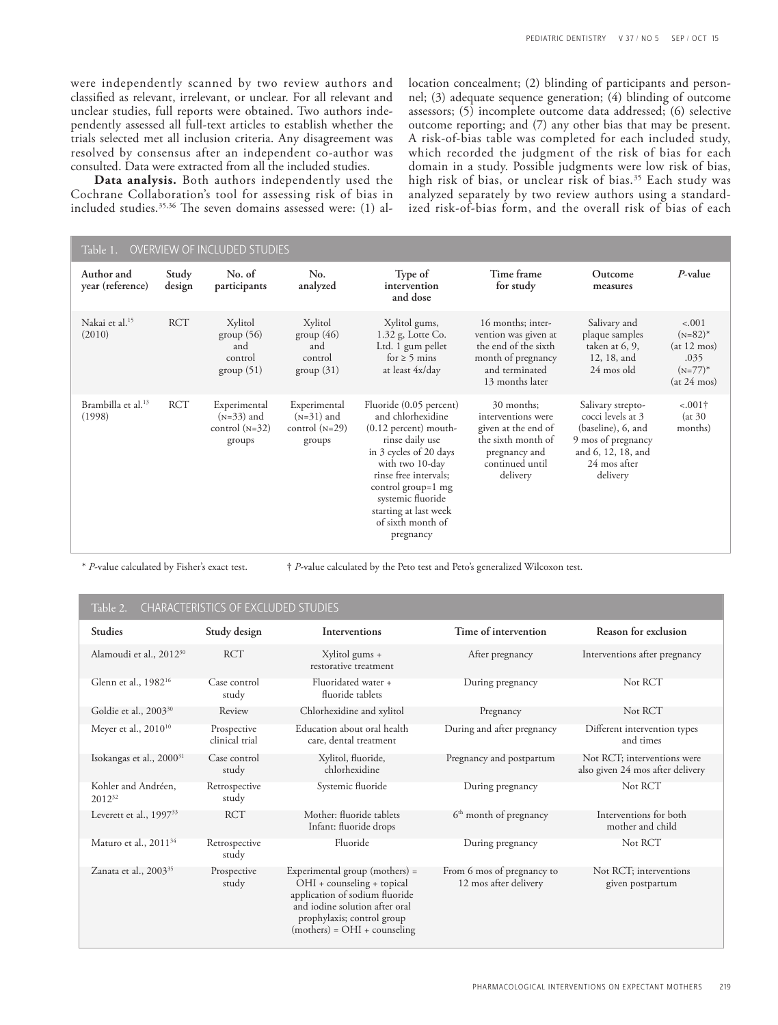were independently scanned by two review authors and classified as relevant, irrelevant, or unclear. For all relevant and unclear studies, full reports were obtained. Two authors independently assessed all full-text articles to establish whether the trials selected met all inclusion criteria. Any disagreement was resolved by consensus after an independent co-author was consulted. Data were extracted from all the included studies.

**Data analysis.** Both authors independently used the Cochrane Collaboration's tool for assessing risk of bias in included studies.35,36 The seven domains assessed were: (1) al-

location concealment; (2) blinding of participants and personnel; (3) adequate sequence generation; (4) blinding of outcome assessors; (5) incomplete outcome data addressed; (6) selective outcome reporting; and (7) any other bias that may be present. A risk-of-bias table was completed for each included study, which recorded the judgment of the risk of bias for each domain in a study. Possible judgments were low risk of bias, high risk of bias, or unclear risk of bias.<sup>35</sup> Each study was analyzed separately by two review authors using a standardized risk-of-bias form, and the overall risk of bias of each

| OVERVIEW OF INCLUDED STUDIES<br>Table 1. |                 |                                                            |                                                            |                                                                                                                                                                                                                                                                        |                                                                                                                               |                                                                                                                                      |                                                                                  |  |
|------------------------------------------|-----------------|------------------------------------------------------------|------------------------------------------------------------|------------------------------------------------------------------------------------------------------------------------------------------------------------------------------------------------------------------------------------------------------------------------|-------------------------------------------------------------------------------------------------------------------------------|--------------------------------------------------------------------------------------------------------------------------------------|----------------------------------------------------------------------------------|--|
| Author and<br>year (reference)           | Study<br>design | No. of<br>participants                                     | No.<br>analyzed                                            | Type of<br>intervention<br>and dose                                                                                                                                                                                                                                    | Time frame<br>for study                                                                                                       | Outcome<br>measures                                                                                                                  | $P$ -value                                                                       |  |
| Nakai et al. <sup>15</sup><br>(2010)     | <b>RCT</b>      | Xylitol<br>group(56)<br>and<br>control<br>group(51)        | Xylitol<br>group(46)<br>and<br>control<br>group(31)        | Xylitol gums,<br>$1.32$ g, Lotte Co.<br>Ltd. 1 gum pellet<br>for $\geq 5$ mins<br>at least 4x/day                                                                                                                                                                      | 16 months; inter-<br>vention was given at<br>the end of the sixth<br>month of pregnancy<br>and terminated<br>13 months later  | Salivary and<br>plaque samples<br>taken at 6, 9,<br>12, 18, and<br>24 mos old                                                        | $-.001$<br>$(N=82)^*$<br>(at 12 m)<br>.035<br>$(N=77)$ <sup>*</sup><br>(at 24 m) |  |
| Brambilla et al. <sup>13</sup><br>(1998) | <b>RCT</b>      | Experimental<br>$(N=33)$ and<br>control $(N=32)$<br>groups | Experimental<br>$(N=31)$ and<br>control $(N=29)$<br>groups | Fluoride (0.05 percent)<br>and chlorhexidine<br>$(0.12$ percent) mouth-<br>rinse daily use<br>in 3 cycles of 20 days<br>with two 10-day<br>rinse free intervals;<br>control group=1 mg<br>systemic fluoride<br>starting at last week<br>of sixth month of<br>pregnancy | 30 months;<br>interventions were<br>given at the end of<br>the sixth month of<br>pregnancy and<br>continued until<br>delivery | Salivary strepto-<br>cocci levels at 3<br>(baseline), 6, and<br>9 mos of pregnancy<br>and 6, 12, 18, and<br>24 mos after<br>delivery | $-.001\dagger$<br>(at 30)<br>months)                                             |  |

\* *P*-value calculated by Fisher's exact test. † *P*-value calculated by the Peto test and Peto's generalized Wilcoxon test.

### CHARACTERISTICS OF EXCLUDED STUDIES

| <b>Studies</b>                       | Study design                  | Interventions                                                                                                                                                                                      | Time of intervention                                | Reason for exclusion                                            |
|--------------------------------------|-------------------------------|----------------------------------------------------------------------------------------------------------------------------------------------------------------------------------------------------|-----------------------------------------------------|-----------------------------------------------------------------|
| Alamoudi et al., 2012 <sup>30</sup>  | <b>RCT</b>                    | Xylitol gums +<br>restorative treatment                                                                                                                                                            | After pregnancy                                     | Interventions after pregnancy                                   |
| Glenn et al., 1982 <sup>16</sup>     | Case control<br>study         | Fluoridated water +<br>fluoride tablets                                                                                                                                                            | During pregnancy                                    | Not RCT                                                         |
| Goldie et al., 2003 <sup>30</sup>    | Review                        | Chlorhexidine and xylitol                                                                                                                                                                          | Pregnancy                                           | Not RCT                                                         |
| Meyer et al., $2010^{10}$            | Prospective<br>clinical trial | Education about oral health<br>care, dental treatment                                                                                                                                              | During and after pregnancy                          | Different intervention types<br>and times                       |
| Isokangas et al., 2000 <sup>31</sup> | Case control<br>study         | Xylitol, fluoride,<br>chlorhexidine                                                                                                                                                                | Pregnancy and postpartum                            | Not RCT; interventions were<br>also given 24 mos after delivery |
| Kohler and Andréen,<br>$2012^{32}$   | Retrospective<br>study        | Systemic fluoride                                                                                                                                                                                  | During pregnancy                                    | Not RCT                                                         |
| Leverett et al., 1997 <sup>33</sup>  | <b>RCT</b>                    | Mother: fluoride tablets<br>Infant: fluoride drops                                                                                                                                                 | 6 <sup>th</sup> month of pregnancy                  | Interventions for both<br>mother and child                      |
| Maturo et al., 2011 <sup>34</sup>    | Retrospective<br>study        | Fluoride                                                                                                                                                                                           | During pregnancy                                    | Not RCT                                                         |
| Zanata et al., 2003 <sup>35</sup>    | Prospective<br>study          | Experimental group (mothers) $=$<br>OHI + counseling + topical<br>application of sodium fluoride<br>and iodine solution after oral<br>prophylaxis; control group<br>$(mothers) = OHI + courseling$ | From 6 mos of pregnancy to<br>12 mos after delivery | Not RCT; interventions<br>given postpartum                      |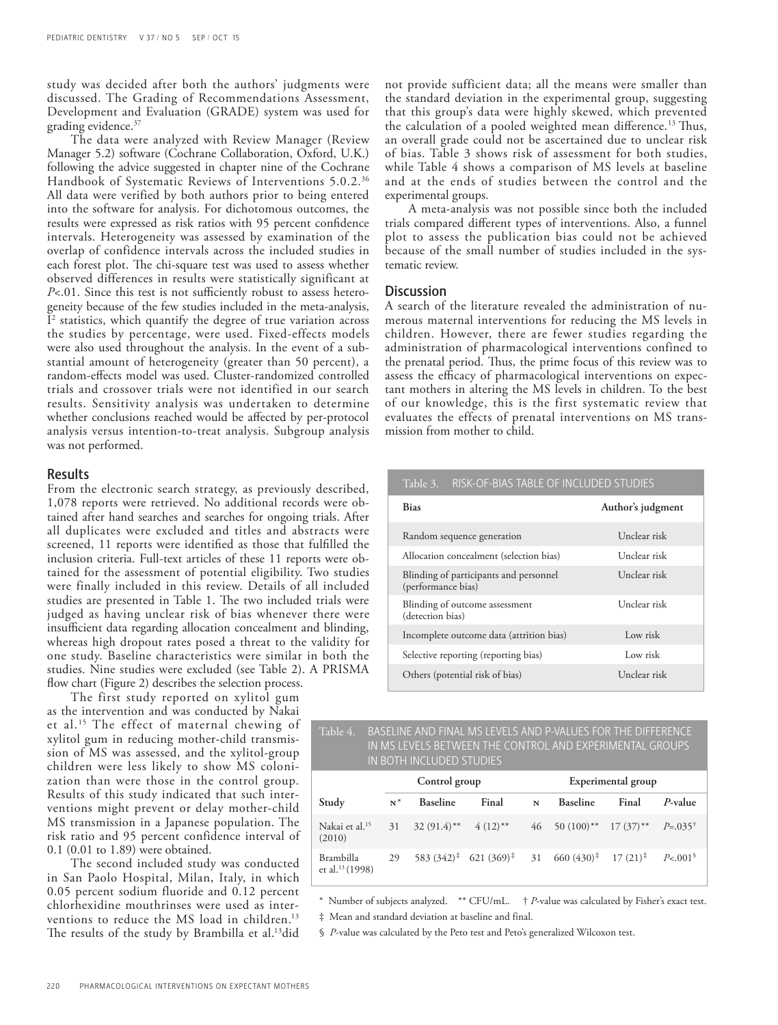study was decided after both the authors' judgments were discussed. The Grading of Recommendations Assessment, Development and Evaluation (GRADE) system was used for grading evidence.37

The data were analyzed with Review Manager (Review Manager 5.2) software (Cochrane Collaboration, Oxford, U.K.) following the advice suggested in chapter nine of the Cochrane Handbook of Systematic Reviews of Interventions 5.0.2.36 All data were verified by both authors prior to being entered into the software for analysis. For dichotomous outcomes, the results were expressed as risk ratios with 95 percent confidence intervals. Heterogeneity was assessed by examination of the overlap of confidence intervals across the included studies in each forest plot. The chi-square test was used to assess whether observed differences in results were statistically significant at *P*<.01. Since this test is not sufficiently robust to assess heterogeneity because of the few studies included in the meta-analysis, I2 statistics, which quantify the degree of true variation across the studies by percentage, were used. Fixed-effects models were also used throughout the analysis. In the event of a substantial amount of heterogeneity (greater than 50 percent), a random-effects model was used. Cluster-randomized controlled trials and crossover trials were not identified in our search results. Sensitivity analysis was undertaken to determine whether conclusions reached would be affected by per-protocol analysis versus intention-to-treat analysis. Subgroup analysis was not performed.

### Results

From the electronic search strategy, as previously described, 1,078 reports were retrieved. No additional records were obtained after hand searches and searches for ongoing trials. After all duplicates were excluded and titles and abstracts were screened, 11 reports were identified as those that fulfilled the inclusion criteria. Full-text articles of these 11 reports were obtained for the assessment of potential eligibility. Two studies were finally included in this review. Details of all included studies are presented in Table 1. The two included trials were judged as having unclear risk of bias whenever there were insufficient data regarding allocation concealment and blinding, whereas high dropout rates posed a threat to the validity for one study. Baseline characteristics were similar in both the studies. Nine studies were excluded (see Table 2). A PRISMA flow chart (Figure 2) describes the selection process.

The first study reported on xylitol gum as the intervention and was conducted by Nakai et al.15 The effect of maternal chewing of xylitol gum in reducing mother-child transmission of MS was assessed, and the xylitol-group children were less likely to show MS colonization than were those in the control group. Results of this study indicated that such interventions might prevent or delay mother-child MS transmission in a Japanese population. The risk ratio and 95 percent confidence interval of 0.1 (0.01 to 1.89) were obtained.

The second included study was conducted in San Paolo Hospital, Milan, Italy, in which 0.05 percent sodium fluoride and 0.12 percent chlorhexidine mouthrinses were used as interventions to reduce the MS load in children.<sup>13</sup> The results of the study by Brambilla et al.<sup>13</sup>did not provide sufficient data; all the means were smaller than the standard deviation in the experimental group, suggesting that this group's data were highly skewed, which prevented the calculation of a pooled weighted mean difference.13 Thus, an overall grade could not be ascertained due to unclear risk of bias. Table 3 shows risk of assessment for both studies, while Table 4 shows a comparison of MS levels at baseline and at the ends of studies between the control and the experimental groups.

A meta-analysis was not possible since both the included trials compared different types of interventions. Also, a funnel plot to assess the publication bias could not be achieved because of the small number of studies included in the systematic review.

### **Discussion**

A search of the literature revealed the administration of numerous maternal interventions for reducing the MS levels in children. However, there are fewer studies regarding the administration of pharmacological interventions confined to the prenatal period. Thus, the prime focus of this review was to assess the efficacy of pharmacological interventions on expectant mothers in altering the MS levels in children. To the best of our knowledge, this is the first systematic review that evaluates the effects of prenatal interventions on MS transmission from mother to child.

| Table D.<br><u>כחוטטוב שמטומונו וט ומאוד וט־אכוא</u>         |                   |
|--------------------------------------------------------------|-------------------|
| <b>Bias</b>                                                  | Author's judgment |
| Random sequence generation                                   | Unclear risk      |
| Allocation concealment (selection bias)                      | Unclear risk-     |
| Blinding of participants and personnel<br>(performance bias) | Unclear risk      |
| Blinding of outcome assessment<br>(detection bias)           | Unclear risk      |
| Incomplete outcome data (attrition bias)                     | Low risk          |
| Selective reporting (reporting bias)                         | Low risk          |
| Others (potential risk of bias)                              | Unclear risk      |

T.L.L. 2. RIGK-OF-BIAS TABLE OF INCLUDED STUDIES

### Table 4. BASELINE AND FINAL MS LEVELS AND P-VALUES FOR THE DIFFERENCE IN MS LEVELS BETWEEN THE CONTROL AND EXPERIMENTAL GROUPS IN BOTH INCLUDED STUDIES

|                                          | Control group |                          |                                                                                              | Experimental group |                                            |       |                    |
|------------------------------------------|---------------|--------------------------|----------------------------------------------------------------------------------------------|--------------------|--------------------------------------------|-------|--------------------|
| Study                                    | $N^*$         | <b>Baseline</b>          | Final                                                                                        | N                  | <b>Baseline</b>                            | Final | P-value            |
| Nakai et al. <sup>15</sup><br>(2010)     | 31            | $32(91.4)$ ** $4(12)$ ** |                                                                                              |                    | 46 50 (100)** 17 (37)** $P=.035^{\dagger}$ |       |                    |
| Brambilla<br>et al. <sup>13</sup> (1998) | 29            |                          | 583 $(342)^{\ddagger}$ 621 $(369)^{\ddagger}$ 31 660 $(430)^{\ddagger}$ 17 $(21)^{\ddagger}$ |                    |                                            |       | P<.001 <sup></sup> |

 \* Number of subjects analyzed. \*\* CFU/mL. † *P*-value was calculated by Fisher's exact test. ‡ Mean and standard deviation at baseline and final.

§ *P*-value was calculated by the Peto test and Peto's generalized Wilcoxon test.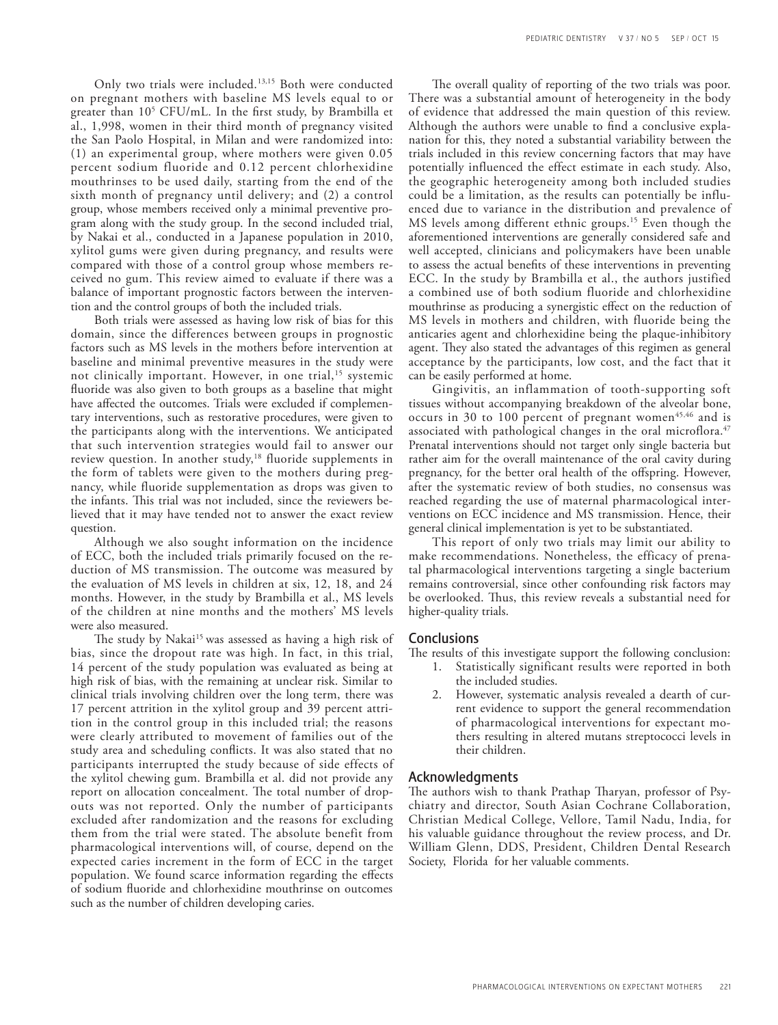Only two trials were included.13,15 Both were conducted on pregnant mothers with baseline MS levels equal to or greater than 105 CFU/mL. In the first study, by Brambilla et al., 1,998, women in their third month of pregnancy visited the San Paolo Hospital, in Milan and were randomized into: (1) an experimental group, where mothers were given 0.05 percent sodium fluoride and 0.12 percent chlorhexidine mouthrinses to be used daily, starting from the end of the sixth month of pregnancy until delivery; and (2) a control group, whose members received only a minimal preventive program along with the study group. In the second included trial, by Nakai et al., conducted in a Japanese population in 2010, xylitol gums were given during pregnancy, and results were compared with those of a control group whose members received no gum. This review aimed to evaluate if there was a balance of important prognostic factors between the intervention and the control groups of both the included trials.

Both trials were assessed as having low risk of bias for this domain, since the differences between groups in prognostic factors such as MS levels in the mothers before intervention at baseline and minimal preventive measures in the study were not clinically important. However, in one trial,<sup>15</sup> systemic fluoride was also given to both groups as a baseline that might have affected the outcomes. Trials were excluded if complementary interventions, such as restorative procedures, were given to the participants along with the interventions. We anticipated that such intervention strategies would fail to answer our review question. In another study,<sup>18</sup> fluoride supplements in the form of tablets were given to the mothers during pregnancy, while fluoride supplementation as drops was given to the infants. This trial was not included, since the reviewers believed that it may have tended not to answer the exact review question.

Although we also sought information on the incidence of ECC, both the included trials primarily focused on the reduction of MS transmission. The outcome was measured by the evaluation of MS levels in children at six, 12, 18, and 24 months. However, in the study by Brambilla et al., MS levels of the children at nine months and the mothers' MS levels were also measured.

The study by Nakai<sup>15</sup> was assessed as having a high risk of bias, since the dropout rate was high. In fact, in this trial, 14 percent of the study population was evaluated as being at high risk of bias, with the remaining at unclear risk. Similar to clinical trials involving children over the long term, there was 17 percent attrition in the xylitol group and 39 percent attrition in the control group in this included trial; the reasons were clearly attributed to movement of families out of the study area and scheduling conflicts. It was also stated that no participants interrupted the study because of side effects of the xylitol chewing gum. Brambilla et al. did not provide any report on allocation concealment. The total number of dropouts was not reported. Only the number of participants excluded after randomization and the reasons for excluding them from the trial were stated. The absolute benefit from pharmacological interventions will, of course, depend on the expected caries increment in the form of ECC in the target population. We found scarce information regarding the effects of sodium fluoride and chlorhexidine mouthrinse on outcomes such as the number of children developing caries.

The overall quality of reporting of the two trials was poor. There was a substantial amount of heterogeneity in the body of evidence that addressed the main question of this review. Although the authors were unable to find a conclusive explanation for this, they noted a substantial variability between the trials included in this review concerning factors that may have potentially influenced the effect estimate in each study. Also, the geographic heterogeneity among both included studies could be a limitation, as the results can potentially be influenced due to variance in the distribution and prevalence of MS levels among different ethnic groups.15 Even though the aforementioned interventions are generally considered safe and well accepted, clinicians and policymakers have been unable to assess the actual benefits of these interventions in preventing ECC. In the study by Brambilla et al., the authors justified a combined use of both sodium fluoride and chlorhexidine mouthrinse as producing a synergistic effect on the reduction of MS levels in mothers and children, with fluoride being the anticaries agent and chlorhexidine being the plaque-inhibitory agent. They also stated the advantages of this regimen as general acceptance by the participants, low cost, and the fact that it can be easily performed at home.

Gingivitis, an inflammation of tooth-supporting soft tissues without accompanying breakdown of the alveolar bone, occurs in 30 to 100 percent of pregnant women<sup>45,46</sup> and is associated with pathological changes in the oral microflora.<sup>47</sup> Prenatal interventions should not target only single bacteria but rather aim for the overall maintenance of the oral cavity during pregnancy, for the better oral health of the offspring. However, after the systematic review of both studies, no consensus was reached regarding the use of maternal pharmacological interventions on ECC incidence and MS transmission. Hence, their general clinical implementation is yet to be substantiated.

This report of only two trials may limit our ability to make recommendations. Nonetheless, the efficacy of prenatal pharmacological interventions targeting a single bacterium remains controversial, since other confounding risk factors may be overlooked. Thus, this review reveals a substantial need for higher-quality trials.

### **Conclusions**

The results of this investigate support the following conclusion:

- 1. Statistically significant results were reported in both the included studies.
- 2. However, systematic analysis revealed a dearth of current evidence to support the general recommendation of pharmacological interventions for expectant mothers resulting in altered mutans streptococci levels in their children.

### Acknowledgments

The authors wish to thank Prathap Tharyan, professor of Psychiatry and director, South Asian Cochrane Collaboration, Christian Medical College, Vellore, Tamil Nadu, India, for his valuable guidance throughout the review process, and Dr. William Glenn, DDS, President, Children Dental Research Society, Florida for her valuable comments.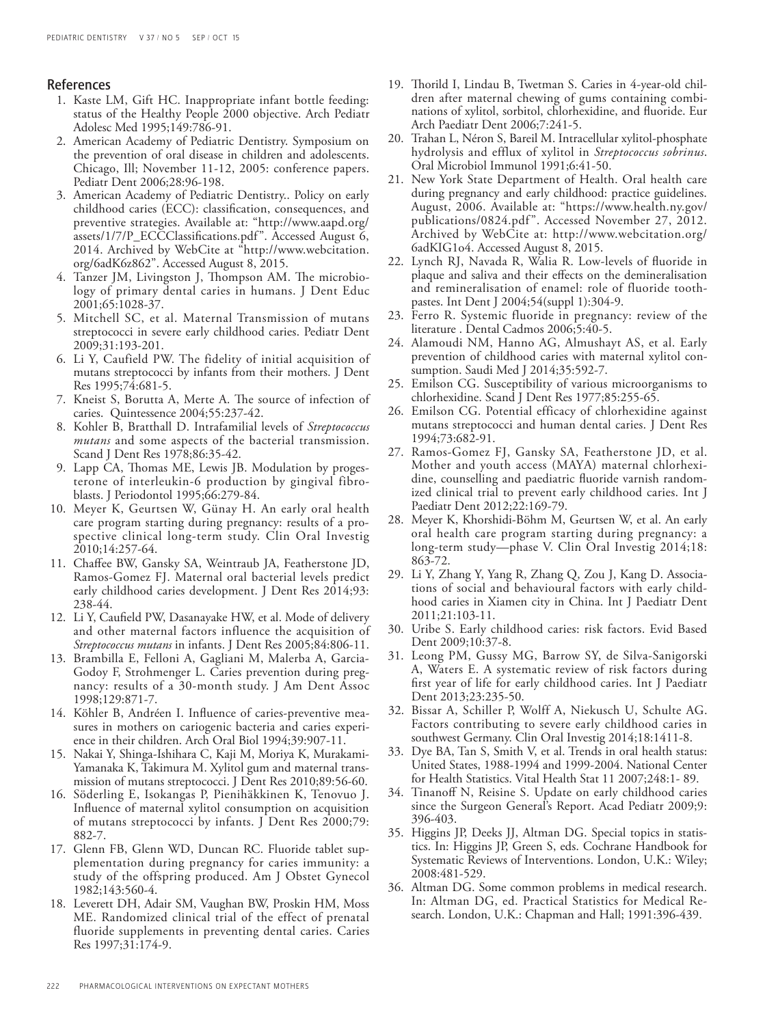### References

- 1. Kaste LM, Gift HC. Inappropriate infant bottle feeding: status of the Healthy People 2000 objective. Arch Pediatr Adolesc Med 1995;149:786-91.
- 2. American Academy of Pediatric Dentistry. Symposium on the prevention of oral disease in children and adolescents. Chicago, Ill; November 11-12, 2005: conference papers. Pediatr Dent 2006;28:96-198.
- 3. American Academy of Pediatric Dentistry.. Policy on early childhood caries (ECC): classification, consequences, and preventive strategies. Available at: "http://www.aapd.org/ assets/1/7/P\_ECCClassifications.pdf". Accessed August 6, 2014. Archived by WebCite at "http://www.webcitation. org/6adK6z862". Accessed August 8, 2015.
- 4. Tanzer JM, Livingston J, Thompson AM. The microbiology of primary dental caries in humans. J Dent Educ 2001;65:1028-37.
- 5. Mitchell SC, et al. Maternal Transmission of mutans streptococci in severe early childhood caries. Pediatr Dent 2009;31:193-201.
- 6. Li Y, Caufield PW. The fidelity of initial acquisition of mutans streptococci by infants from their mothers. J Dent Res 1995;74:681-5.
- 7. Kneist S, Borutta A, Merte A. The source of infection of caries. Quintessence 2004;55:237-42.
- 8. Kohler B, Bratthall D. Intrafamilial levels of *Streptococcus mutans* and some aspects of the bacterial transmission. Scand J Dent Res 1978;86:35-42.
- 9. Lapp CA, Thomas ME, Lewis JB. Modulation by progesterone of interleukin-6 production by gingival fibroblasts. J Periodontol 1995;66:279-84.
- 10. Meyer K, Geurtsen W, Günay H. An early oral health care program starting during pregnancy: results of a prospective clinical long-term study. Clin Oral Investig 2010;14:257-64.
- 11. Chaffee BW, Gansky SA, Weintraub JA, Featherstone JD, Ramos-Gomez FJ. Maternal oral bacterial levels predict early childhood caries development. J Dent Res 2014;93: 238-44.
- 12. Li Y, Caufield PW, Dasanayake HW, et al. Mode of delivery and other maternal factors influence the acquisition of *Streptococcus mutans* in infants. J Dent Res 2005;84:806-11.
- 13. Brambilla E, Felloni A, Gagliani M, Malerba A, Garcia-Godoy F, Strohmenger L. Caries prevention during pregnancy: results of a 30-month study. J Am Dent Assoc 1998;129:871-7.
- 14. Köhler B, Andréen I. Influence of caries-preventive measures in mothers on cariogenic bacteria and caries experience in their children. Arch Oral Biol 1994;39:907-11.
- 15. Nakai Y, Shinga-Ishihara C, Kaji M, Moriya K, Murakami-Yamanaka K, Takimura M. Xylitol gum and maternal transmission of mutans streptococci. J Dent Res 2010;89:56-60.
- 16. Söderling E, Isokangas P, Pienihäkkinen K, Tenovuo J. Influence of maternal xylitol consumption on acquisition of mutans streptococci by infants. J Dent Res 2000;79: 882-7.
- 17. Glenn FB, Glenn WD, Duncan RC. Fluoride tablet supplementation during pregnancy for caries immunity: a study of the offspring produced. Am J Obstet Gynecol 1982;143:560-4.
- 18. Leverett DH, Adair SM, Vaughan BW, Proskin HM, Moss ME. Randomized clinical trial of the effect of prenatal fluoride supplements in preventing dental caries. Caries Res 1997;31:174-9.
- 19. Thorild I, Lindau B, Twetman S. Caries in 4-year-old children after maternal chewing of gums containing combinations of xylitol, sorbitol, chlorhexidine, and fluoride. Eur Arch Paediatr Dent 2006;7:241-5.
- 20. Trahan L, Néron S, Bareil M. Intracellular xylitol-phosphate hydrolysis and efflux of xylitol in *Streptococcus sobrinus*. Oral Microbiol Immunol 1991;6:41-50.
- 21. New York State Department of Health. Oral health care during pregnancy and early childhood: practice guidelines. August, 2006. Available at: "https://www.health.ny.gov/ publications/0824.pdf ". Accessed November 27, 2012. Archived by WebCite at: http://www.webcitation.org/ 6adKIG1o4. Accessed August 8, 2015.
- 22. Lynch RJ, Navada R, Walia R. Low-levels of fluoride in plaque and saliva and their effects on the demineralisation and remineralisation of enamel: role of fluoride toothpastes. Int Dent J 2004;54(suppl 1):304-9.
- 23. Ferro R. Systemic fluoride in pregnancy: review of the literature . Dental Cadmos 2006;5:40-5.
- 24. Alamoudi NM, Hanno AG, Almushayt AS, et al. Early prevention of childhood caries with maternal xylitol consumption. Saudi Med J 2014;35:592-7.
- 25. Emilson CG. Susceptibility of various microorganisms to chlorhexidine. Scand J Dent Res 1977;85:255-65.
- 26. Emilson CG. Potential efficacy of chlorhexidine against mutans streptococci and human dental caries. J Dent Res 1994;73:682-91.
- 27. Ramos-Gomez FJ, Gansky SA, Featherstone JD, et al. Mother and youth access (MAYA) maternal chlorhexidine, counselling and paediatric fluoride varnish randomized clinical trial to prevent early childhood caries. Int J Paediatr Dent 2012;22:169-79.
- 28. Meyer K, Khorshidi-Böhm M, Geurtsen W, et al. An early oral health care program starting during pregnancy: a long-term study—phase V. Clin Oral Investig 2014;18: 863-72.
- 29. Li Y, Zhang Y, Yang R, Zhang Q, Zou J, Kang D. Associations of social and behavioural factors with early childhood caries in Xiamen city in China. Int J Paediatr Dent 2011;21:103-11.
- 30. Uribe S. Early childhood caries: risk factors. Evid Based Dent 2009;10:37-8.
- 31. Leong PM, Gussy MG, Barrow SY, de Silva-Sanigorski A, Waters E. A systematic review of risk factors during first year of life for early childhood caries. Int J Paediatr Dent 2013;23:235-50.
- 32. Bissar A, Schiller P, Wolff A, Niekusch U, Schulte AG. Factors contributing to severe early childhood caries in southwest Germany. Clin Oral Investig 2014;18:1411-8.
- 33. Dye BA, Tan S, Smith V, et al. Trends in oral health status: United States, 1988-1994 and 1999-2004. National Center for Health Statistics. Vital Health Stat 11 2007;248:1- 89.
- 34. Tinanoff N, Reisine S. Update on early childhood caries since the Surgeon General's Report. Acad Pediatr 2009;9: 396-403.
- 35. Higgins JP, Deeks JJ, Altman DG. Special topics in statistics. In: Higgins JP, Green S, eds. Cochrane Handbook for Systematic Reviews of Interventions. London, U.K.: Wiley; 2008:481-529.
- 36. Altman DG. Some common problems in medical research. In: Altman DG, ed. Practical Statistics for Medical Research. London, U.K.: Chapman and Hall; 1991:396-439.